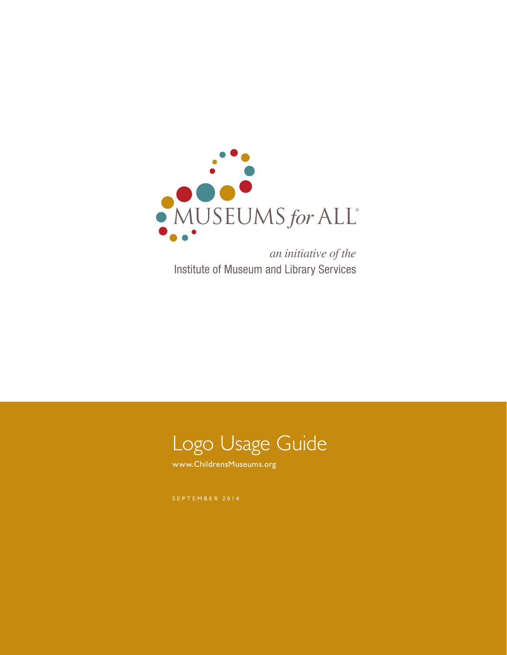

*an initiative of the* Institute of Museum and Library Services



www.ChildrensMuseums.org

SEPTEMBER 2014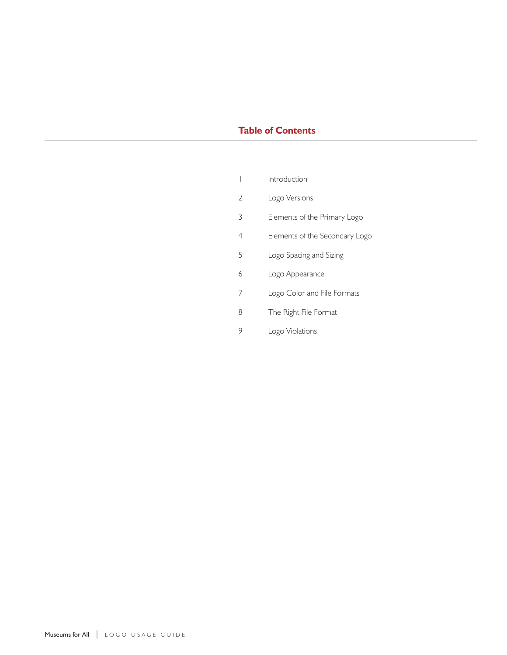# **Table of Contents**

- Logo Versions
- Elements of the Primary Logo
- Elements of the Secondary Logo
- Logo Spacing and Sizing
- Logo Appearance
- 7 Logo Color and File Formats
- The Right File Format
- Logo Violations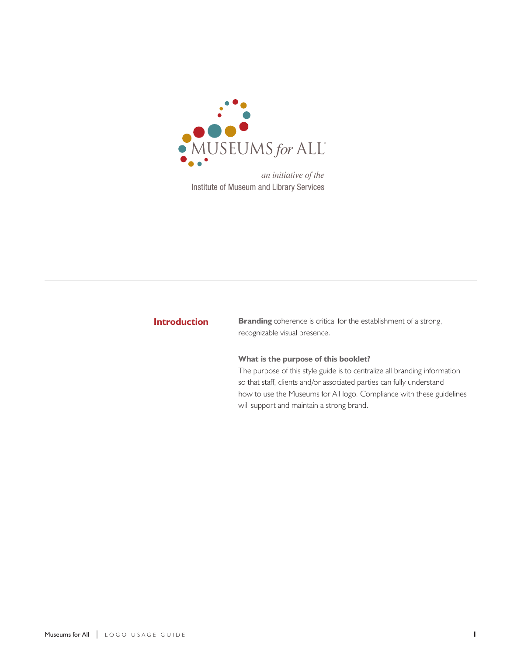

*an initiative of the* Institute of Museum and Library Services

## **Introduction**

**Branding** coherence is critical for the establishment of a strong, recognizable visual presence.

## **What is the purpose of this booklet?**

The purpose of this style guide is to centralize all branding information so that staff, clients and/or associated parties can fully understand how to use the Museums for All logo. Compliance with these guidelines will support and maintain a strong brand.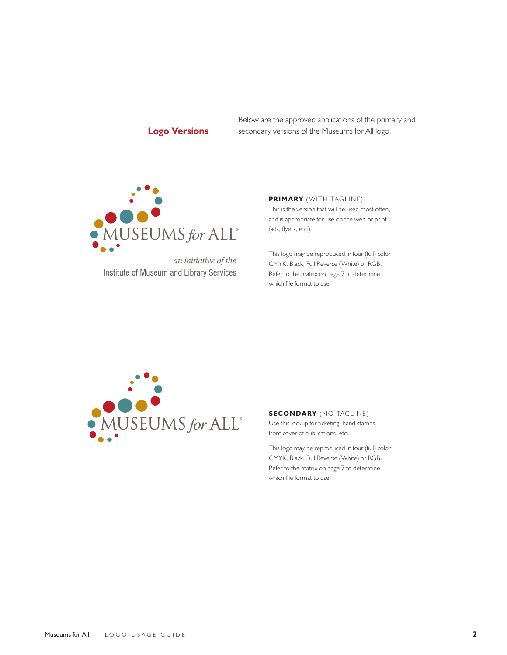# **Logo Versions**

Below are the approved applications of the primary and secondary versions of the Museums for All logo.



*an initiative of the* Institute of Museum and Library Services

#### **PRIMARY** (WITH TAGLINE)

This is the version that will be used most often, and is appropriate for use on the web or print (ads, flyers, etc.)

This logo may be reproduced in four (full) color CMYK, Black, Full Reverse (White) or RGB. Refer to the matrix on page 7 to determine which file format to use.



## **SECONDARY** (NO TAGLINE)

Use this lockup for ticketing, hand stamps, front cover of publications, etc.

This logo may be reproduced in four (full) color CMYK, Black, Full Reverse (White) or RGB. Refer to the matrix on page 7 to determine which file format to use.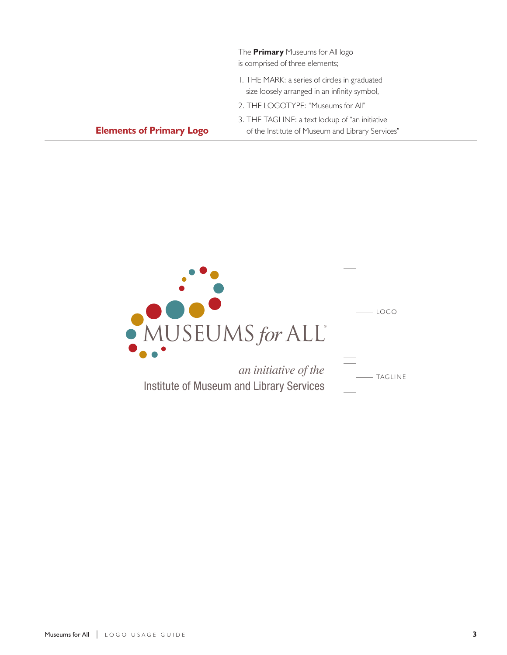|                                 | The <b>Primary</b> Museums for All logo<br>is comprised of three elements;                           |
|---------------------------------|------------------------------------------------------------------------------------------------------|
|                                 | I. THE MARK: a series of circles in graduated<br>size loosely arranged in an infinity symbol,        |
|                                 | 2. THE LOGOTYPE: "Museums for All"                                                                   |
| <b>Elements of Primary Logo</b> | 3. THE TAGLINE: a text lockup of "an initiative"<br>of the Institute of Museum and Library Services" |

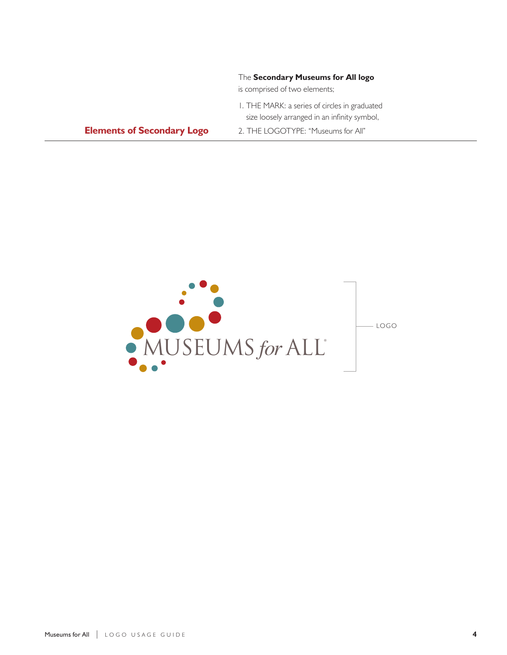|                                   | The Secondary Museums for All logo<br>is comprised of two elements;                           |
|-----------------------------------|-----------------------------------------------------------------------------------------------|
|                                   | I. THE MARK: a series of circles in graduated<br>size loosely arranged in an infinity symbol, |
| <b>Elements of Secondary Logo</b> | 2. THE LOGOTYPE: "Museums for All"                                                            |

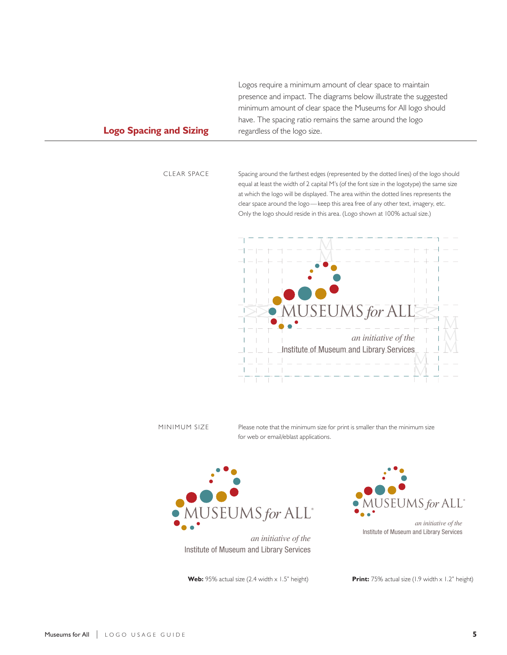Logos require a minimum amount of clear space to maintain presence and impact. The diagrams below illustrate the suggested minimum amount of clear space the Museums for All logo should have. The spacing ratio remains the same around the logo regardless of the logo size.

## **Logo Spacing and Sizing**

CLEAR SPACE

Spacing around the farthest edges (represented by the dotted lines) of the logo should equal at least the width of 2 capital M's (of the font size in the logotype) the same size at which the logo will be displayed. The area within the dotted lines represents the clear space around the logo—keep this area free of any other text, imagery, etc. Only the logo should reside in this area. (Logo shown at 100% actual size.)



#### MINIMUM SIZE

Please note that the minimum size for print is smaller than the minimum size<br>*c* for web or email/eblast applications.



*an initiative of the* Institute of Museum and Library Services

Web: 95% actual size (2.4 width x 1.5" height)



**Print:** 75% actual size (1.9 width x 1.2" height)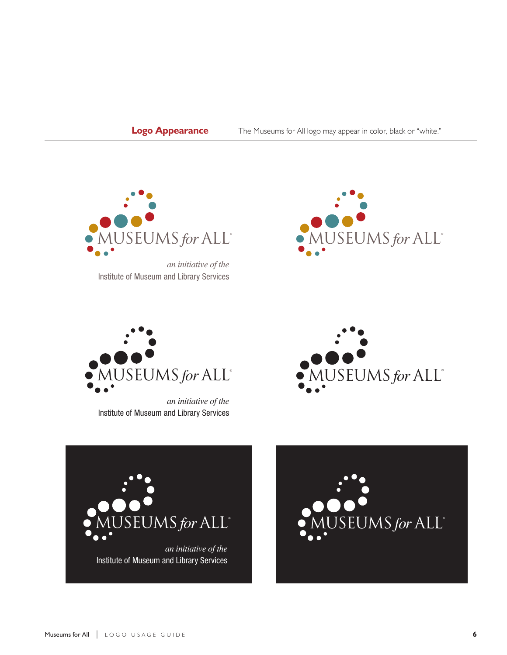**Logo Appearance** The Museums for All logo may appear in color, black or "white."



*an initiative of the* Institute of Museum and Library Services





*an initiative of the* Institute of Museum and Library Services





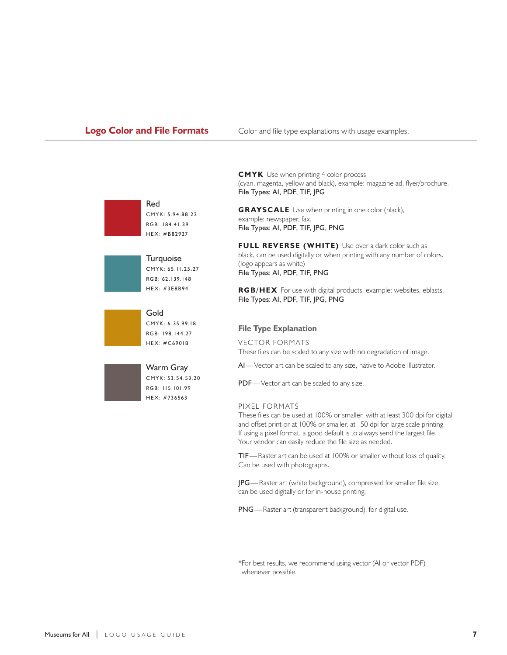**Logo Color and File Formats** Color and file type explanations with usage examples.



Red CMYK: 5.94.88.22 RGB: 184.41.39 HEX: #B82927







**CMYK** Use when printing 4 color process (cyan, magenta, yellow and black), example: magazine ad, flyer/brochure. File Types: AI, PDF, TIF, JPG

**GRAYSCALE** Use when printing in one color (black), example: newspaper, fax. File Types: AI, PDF, TIF, JPG, PNG

**FULL REVERSE (WHITE)** Use over a dark color such as black, can be used digitally or when printing with any number of colors. (logo appears as white) File Types: AI, PDF, TIF, PNG

**RGB/HEX** For use with digital products, example: websites, eblasts. File Types: AI, PDF, TIF, JPG, PNG

#### **File Type Explanation**

VECTOR FORMATS These files can be scaled to any size with no degradation of image.

AI—Vector art can be scaled to any size, native to Adobe Illustrator.

PDF—Vector art can be scaled to any size.

### PIXEL FORMATS

These files can be used at 100% or smaller, with at least 300 dpi for digital and offset print or at 100% or smaller, at 150 dpi for large scale printing. If using a pixel format, a good default is to always send the largest file. Your vendor can easily reduce the file size as needed.

TIF—Raster art can be used at 100% or smaller without loss of quality. Can be used with photographs.

JPG—Raster art (white background), compressed for smaller file size, can be used digitally or for in-house printing.

PNG—Raster art (transparent background), for digital use.

\*For best results, we recommend using vector (AI or vector PDF) whenever possible.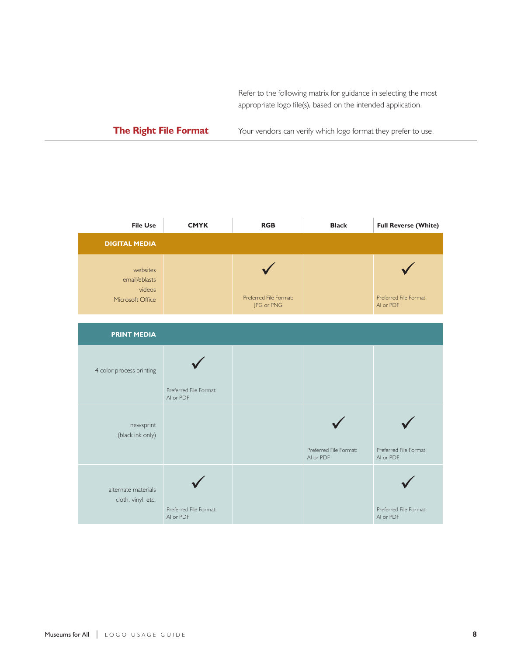Refer to the following matrix for guidance in selecting the most appropriate logo file(s), based on the intended application.

# **The Right File Format**

Your vendors can verify which logo format they prefer to use.

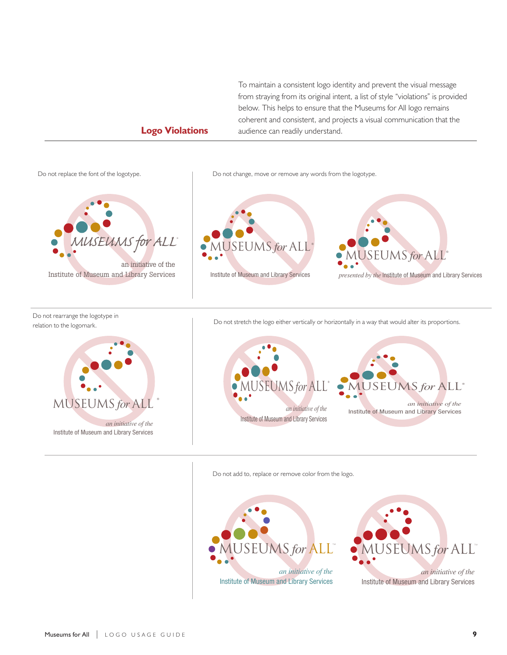To maintain a consistent logo identity and prevent the visual message from straying from its original intent, a list of style "violations" is provided below. This helps to ensure that the Museums for All logo remains coherent and consistent, and projects a visual communication that the audience can readily understand.

## **Logo Violations**



Do not add to, replace or remove color from the logo.